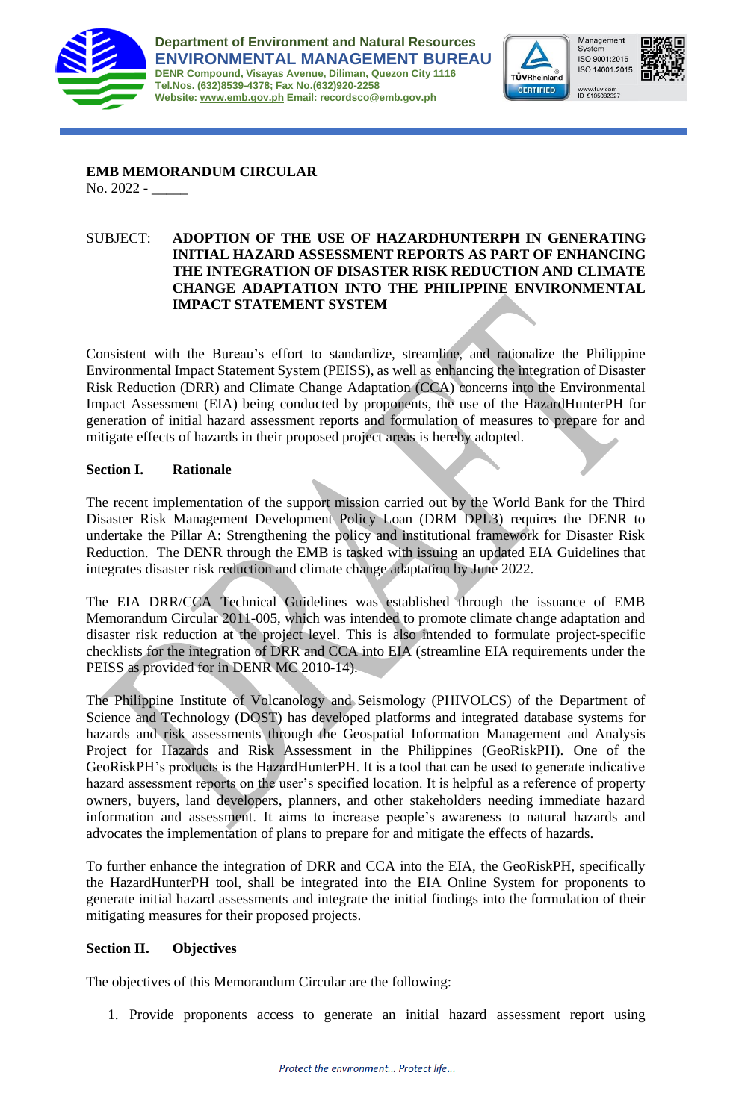



Syster ISO 9001:2015 ISO 14001:2015 www.tuv.com<br>ID 9105082327

Management



**EMB MEMORANDUM CIRCULAR** No. 2022 - \_\_\_\_\_

### SUBJECT: **ADOPTION OF THE USE OF HAZARDHUNTERPH IN GENERATING INITIAL HAZARD ASSESSMENT REPORTS AS PART OF ENHANCING THE INTEGRATION OF DISASTER RISK REDUCTION AND CLIMATE CHANGE ADAPTATION INTO THE PHILIPPINE ENVIRONMENTAL IMPACT STATEMENT SYSTEM**

Consistent with the Bureau's effort to standardize, streamline, and rationalize the Philippine Environmental Impact Statement System (PEISS), as well as enhancing the integration of Disaster Risk Reduction (DRR) and Climate Change Adaptation (CCA) concerns into the Environmental Impact Assessment (EIA) being conducted by proponents, the use of the HazardHunterPH for generation of initial hazard assessment reports and formulation of measures to prepare for and mitigate effects of hazards in their proposed project areas is hereby adopted.

# **Section I. Rationale**

The recent implementation of the support mission carried out by the World Bank for the Third Disaster Risk Management Development Policy Loan (DRM DPL3) requires the DENR to undertake the Pillar A: Strengthening the policy and institutional framework for Disaster Risk Reduction. The DENR through the EMB is tasked with issuing an updated EIA Guidelines that integrates disaster risk reduction and climate change adaptation by June 2022.

The EIA DRR/CCA Technical Guidelines was established through the issuance of EMB Memorandum Circular 2011-005, which was intended to promote climate change adaptation and disaster risk reduction at the project level. This is also intended to formulate project-specific checklists for the integration of DRR and CCA into EIA (streamline EIA requirements under the PEISS as provided for in DENR MC 2010-14).

The Philippine Institute of Volcanology and Seismology (PHIVOLCS) of the Department of Science and Technology (DOST) has developed platforms and integrated database systems for hazards and risk assessments through the Geospatial Information Management and Analysis Project for Hazards and Risk Assessment in the Philippines (GeoRiskPH). One of the GeoRiskPH's products is the HazardHunterPH. It is a tool that can be used to generate indicative hazard assessment reports on the user's specified location. It is helpful as a reference of property owners, buyers, land developers, planners, and other stakeholders needing immediate hazard information and assessment. It aims to increase people's awareness to natural hazards and advocates the implementation of plans to prepare for and mitigate the effects of hazards.

To further enhance the integration of DRR and CCA into the EIA, the GeoRiskPH, specifically the HazardHunterPH tool, shall be integrated into the EIA Online System for proponents to generate initial hazard assessments and integrate the initial findings into the formulation of their mitigating measures for their proposed projects.

#### **Section II. Objectives**

The objectives of this Memorandum Circular are the following:

1. Provide proponents access to generate an initial hazard assessment report using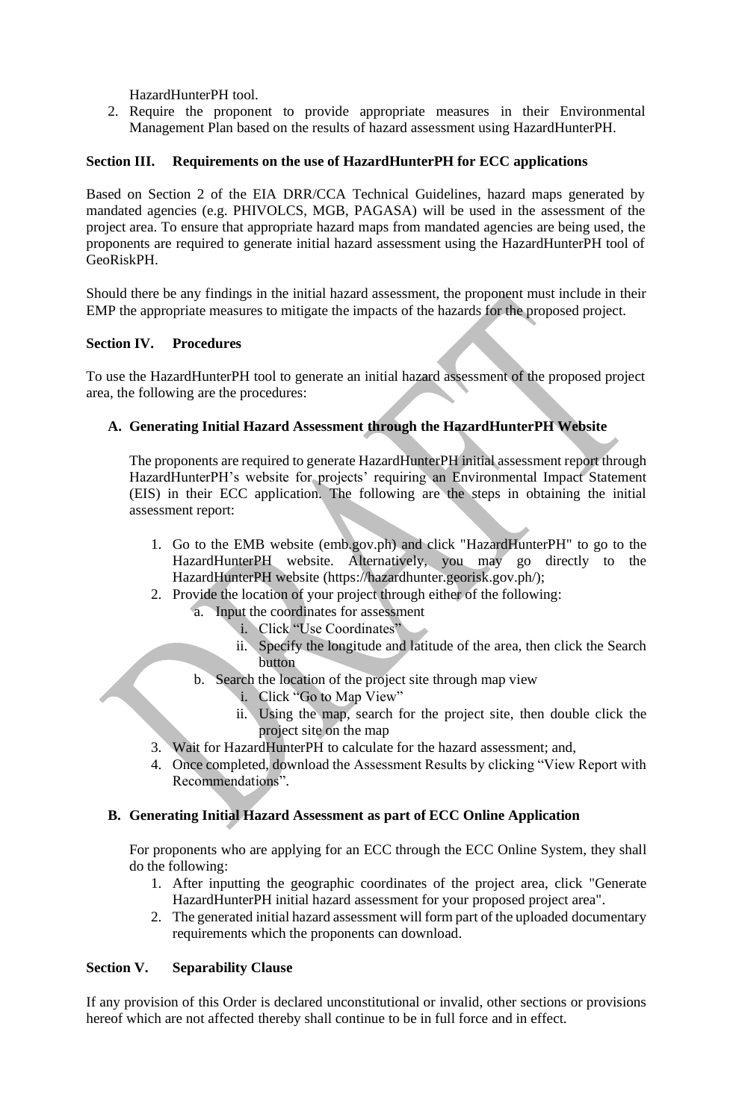HazardHunterPH tool.

2. Require the proponent to provide appropriate measures in their Environmental Management Plan based on the results of hazard assessment using HazardHunterPH.

## **Section III. Requirements on the use of HazardHunterPH for ECC applications**

Based on Section 2 of the EIA DRR/CCA Technical Guidelines, hazard maps generated by mandated agencies (e.g. PHIVOLCS, MGB, PAGASA) will be used in the assessment of the project area. To ensure that appropriate hazard maps from mandated agencies are being used, the proponents are required to generate initial hazard assessment using the HazardHunterPH tool of GeoRiskPH.

Should there be any findings in the initial hazard assessment, the proponent must include in their EMP the appropriate measures to mitigate the impacts of the hazards for the proposed project.

#### **Section IV. Procedures**

To use the HazardHunterPH tool to generate an initial hazard assessment of the proposed project area, the following are the procedures:

## **A. Generating Initial Hazard Assessment through the HazardHunterPH Website**

The proponents are required to generate HazardHunterPH initial assessment report through HazardHunterPH's website for projects' requiring an Environmental Impact Statement (EIS) in their ECC application. The following are the steps in obtaining the initial assessment report:

- 1. Go to the EMB website (emb.gov.ph) and click "HazardHunterPH" to go to the HazardHunterPH website. Alternatively, you may go directly to the HazardHunterPH website (https://hazardhunter.georisk.gov.ph/);
- 2. Provide the location of your project through either of the following:
	- a. Input the coordinates for assessment
		- i. Click "Use Coordinates"
		- ii. Specify the longitude and latitude of the area, then click the Search button
	- b. Search the location of the project site through map view
		- i. Click "Go to Map View"
		- ii. Using the map, search for the project site, then double click the project site on the map
- 3. Wait for HazardHunterPH to calculate for the hazard assessment; and,
- 4. Once completed, download the Assessment Results by clicking "View Report with Recommendations".

#### **B. Generating Initial Hazard Assessment as part of ECC Online Application**

For proponents who are applying for an ECC through the ECC Online System, they shall do the following:

- 1. After inputting the geographic coordinates of the project area, click "Generate HazardHunterPH initial hazard assessment for your proposed project area".
- 2. The generated initial hazard assessment will form part of the uploaded documentary requirements which the proponents can download.

#### **Section V. Separability Clause**

If any provision of this Order is declared unconstitutional or invalid, other sections or provisions hereof which are not affected thereby shall continue to be in full force and in effect.